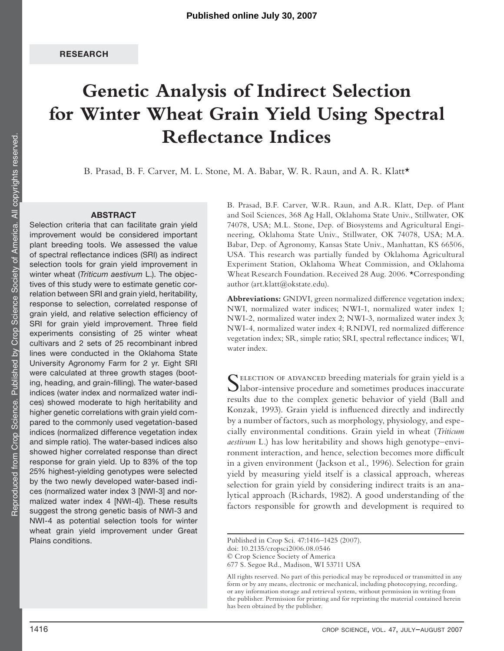# **Genetic Analysis of Indirect Selection for Winter Wheat Grain Yield Using Spectral Reflectance Indices**

B. Prasad, B. F. Carver, M. L. Stone, M. A. Babar, W. R. Raun, and A. R. Klatt\*

#### **ABSTRACT**

Selection criteria that can facilitate grain yield improvement would be considered important plant breeding tools. We assessed the value of spectral reflectance indices (SRI) as indirect selection tools for grain yield improvement in winter wheat (Triticum aestivum L.). The objectives of this study were to estimate genetic correlation between SRI and grain yield, heritability, response to selection, correlated response of grain yield, and relative selection efficiency of SRI for grain yield improvement. Three field experiments consisting of 25 winter wheat cultivars and 2 sets of 25 recombinant inbred lines were conducted in the Oklahoma State University Agronomy Farm for 2 yr. Eight SRI were calculated at three growth stages (booting, heading, and grain-filling). The water-based indices (water index and normalized water indices) showed moderate to high heritability and higher genetic correlations with grain yield compared to the commonly used vegetation-based indices (normalized difference vegetation index and simple ratio). The water-based indices also showed higher correlated response than direct response for grain yield. Up to 83% of the top 25% highest-yielding genotypes were selected by the two newly developed water-based indices (normalized water index 3 [NWI-3] and normalized water index 4 [NWI-4]). These results suggest the strong genetic basis of NWI-3 and NWI-4 as potential selection tools for winter wheat grain yield improvement under Great Plains conditions.

B. Prasad, B.F. Carver, W.R. Raun, and A.R. Klatt, Dep. of Plant and Soil Sciences, 368 Ag Hall, Oklahoma State Univ., Stillwater, OK 74078, USA; M.L. Stone, Dep. of Biosystems and Agricultural Engineering, Oklahoma State Univ., Stillwater, OK 74078, USA; M.A. Babar, Dep. of Agronomy, Kansas State Univ., Manhattan, KS 66506, USA. This research was partially funded by Oklahoma Agricultural Experiment Station, Oklahoma Wheat Commission, and Oklahoma Wheat Research Foundation. Received 28 Aug. 2006. \*Corresponding author (art.klatt@okstate.edu).

Abbreviations: GNDVI, green normalized difference vegetation index; NWI, normalized water indices; NWI-1, normalized water index 1; NWI-2, normalized water index 2; NWI-3, normalized water index 3; NWI-4, normalized water index 4; RNDVI, red normalized difference vegetation index; SR, simple ratio; SRI, spectral reflectance indices; WI, water index.

Selection of advanced breeding materials for grain yield is a labor-intensive procedure and sometimes produces inaccurate results due to the complex genetic behavior of yield (Ball and Konzak, 1993). Grain yield is influenced directly and indirectly by a number of factors, such as morphology, physiology, and especially environmental conditions. Grain yield in wheat (*Triticum aestivum* L.) has low heritability and shows high genotype–environment interaction, and hence, selection becomes more difficult in a given environment (Jackson et al., 1996). Selection for grain yield by measuring yield itself is a classical approach, whereas selection for grain yield by considering indirect traits is an analytical approach (Richards, 1982). A good understanding of the factors responsible for growth and development is required to

Published in Crop Sci. 47:1416–1425 (2007).

All rights reserved. No part of this periodical may be reproduced or transmitted in any form or by any means, electronic or mechanical, including photocopying, recording, or any information storage and retrieval system, without permission in writing from the publisher. Permission for printing and for reprinting the material contained herein has been obtained by the publisher.

doi: 10.2135/cropsci2006.08.0546

<sup>©</sup> Crop Science Society of America

<sup>677</sup> S. Segoe Rd., Madison, WI 53711 USA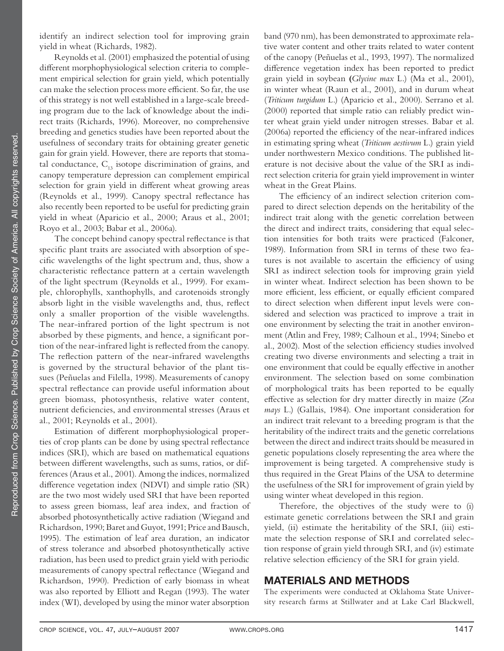identify an indirect selection tool for improving grain yield in wheat (Richards, 1982).

Reynolds et al. (2001) emphasized the potential of using different morphophysiological selection criteria to complement empirical selection for grain yield, which potentially can make the selection process more efficient. So far, the use of this strategy is not well established in a large-scale breeding program due to the lack of knowledge about the indirect traits (Richards, 1996). Moreover, no comprehensive breeding and genetics studies have been reported about the usefulness of secondary traits for obtaining greater genetic gain for grain yield. However, there are reports that stomatal conductance,  $C_{13}$  isotope discrimination of grains, and canopy temperature depression can complement empirical selection for grain yield in different wheat growing areas (Reynolds et al., 1999). Canopy spectral reflectance has also recently been reported to be useful for predicting grain yield in wheat (Aparicio et al., 2000; Araus et al., 2001; Royo et al., 2003; Babar et al., 2006a).

The concept behind canopy spectral reflectance is that specific plant traits are associated with absorption of specific wavelengths of the light spectrum and, thus, show a characteristic reflectance pattern at a certain wavelength of the light spectrum (Reynolds et al., 1999). For example, chlorophylls, xanthophylls, and carotenoids strongly absorb light in the visible wavelengths and, thus, reflect only a smaller proportion of the visible wavelengths. The near-infrared portion of the light spectrum is not absorbed by these pigments, and hence, a significant portion of the near-infrared light is reflected from the canopy. The reflection pattern of the near-infrared wavelengths is governed by the structural behavior of the plant tissues (Peñuelas and Filella, 1998). Measurements of canopy spectral reflectance can provide useful information about green biomass, photosynthesis, relative water content, nutrient deficiencies, and environmental stresses (Araus et al., 2001; Reynolds et al., 2001).

Estimation of different morphophysiological properties of crop plants can be done by using spectral reflectance indices (SRI), which are based on mathematical equations between different wavelengths, such as sums, ratios, or differences (Araus et al., 2001). Among the indices, normalized difference vegetation index (NDVI) and simple ratio (SR) are the two most widely used SRI that have been reported to assess green biomass, leaf area index, and fraction of absorbed photosynthetically active radiation (Wiegand and Richardson, 1990; Baret and Guyot, 1991; Price and Bausch, 1995). The estimation of leaf area duration, an indicator of stress tolerance and absorbed photosynthetically active radiation, has been used to predict grain yield with periodic measurements of canopy spectral reflectance (Wiegand and Richardson, 1990). Prediction of early biomass in wheat was also reported by Elliott and Regan (1993). The water index (WI), developed by using the minor water absorption

band (970 nm), has been demonstrated to approximate relative water content and other traits related to water content of the canopy (Peñuelas et al., 1993, 1997). The normalized difference vegetation index has been reported to predict grain yield in soybean **(***Glycine max* L.) (Ma et al., 2001), in winter wheat (Raun et al., 2001), and in durum wheat (*Triticum turgidum* L.) (Aparicio et al., 2000). Serrano et al. (2000) reported that simple ratio can reliably predict winter wheat grain yield under nitrogen stresses. Babar et al.  $(2006a)$  reported the efficiency of the near-infrared indices in estimating spring wheat (*Triticum aestivum* L.) grain yield under northwestern Mexico conditions. The published literature is not decisive about the value of the SRI as indirect selection criteria for grain yield improvement in winter wheat in the Great Plains.

The efficiency of an indirect selection criterion compared to direct selection depends on the heritability of the indirect trait along with the genetic correlation between the direct and indirect traits, considering that equal selection intensities for both traits were practiced (Falconer, 1989). Information from SRI in terms of these two features is not available to ascertain the efficiency of using SRI as indirect selection tools for improving grain yield in winter wheat. Indirect selection has been shown to be more efficient, less efficient, or equally efficient compared to direct selection when different input levels were considered and selection was practiced to improve a trait in one environment by selecting the trait in another environment (Atlin and Frey, 1989; Calhoun et al., 1994; Sinebo et al., 2002). Most of the selection efficiency studies involved creating two diverse environments and selecting a trait in one environment that could be equally effective in another environment. The selection based on some combination of morphological traits has been reported to be equally eff ective as selection for dry matter directly in maize (*Zea mays* L.) (Gallais, 1984). One important consideration for an indirect trait relevant to a breeding program is that the heritability of the indirect traits and the genetic correlations between the direct and indirect traits should be measured in genetic populations closely representing the area where the improvement is being targeted. A comprehensive study is thus required in the Great Plains of the USA to determine the usefulness of the SRI for improvement of grain yield by using winter wheat developed in this region.

Therefore, the objectives of the study were to (i) estimate genetic correlations between the SRI and grain yield, (ii) estimate the heritability of the SRI, (iii) estimate the selection response of SRI and correlated selection response of grain yield through SRI, and (iv) estimate relative selection efficiency of the SRI for grain yield.

# **MATERIALS AND METHODS**

The experiments were conducted at Oklahoma State University research farms at Stillwater and at Lake Carl Blackwell,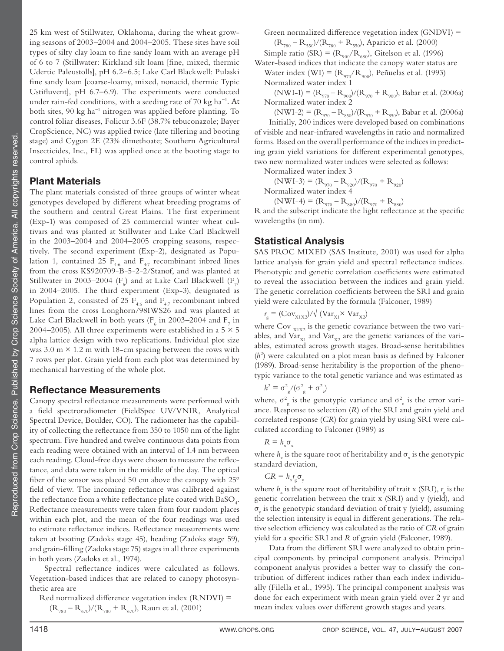25 km west of Stillwater, Oklahoma, during the wheat growing seasons of 2003–2004 and 2004–2005. These sites have soil types of silty clay loam to fine sandy loam with an average pH of 6 to 7 (Stillwater: Kirkland silt loam [fine, mixed, thermic Udertic Paleustolls], pH 6.2–6.5; Lake Carl Blackwell: Pulaski fine sandy loam [coarse-loamy, mixed, nonacid, thermic Typic Ustifluvent], pH 6.7-6.9). The experiments were conducted under rain-fed conditions, with a seeding rate of 70 kg ha<sup>-1</sup>. At both sites, 90 kg ha−1 nitrogen was applied before planting. To control foliar diseases, Folicur 3.6F (38.7% tebuconazole; Bayer CropScience, NC) was applied twice (late tillering and booting stage) and Cygon 2E (23% dimethoate; Southern Agricultural Insecticides, Inc., FL) was applied once at the booting stage to control aphids.

## **Plant Materials**

The plant materials consisted of three groups of winter wheat genotypes developed by different wheat breeding programs of the southern and central Great Plains. The first experiment (Exp-1) was composed of 25 commercial winter wheat cultivars and was planted at Stillwater and Lake Carl Blackwell in the 2003–2004 and 2004–2005 cropping seasons, respectively. The second experiment (Exp-2), designated as Population 1, contained 25  $F_{4.6}$  and  $F_{4.7}$  recombinant inbred lines from the cross KS920709-B-5-2-2/Stanof, and was planted at Stillwater in 2003–2004 ( $F<sub>6</sub>$ ) and at Lake Carl Blackwell ( $F<sub>7</sub>$ ) in 2004–2005. The third experiment (Exp-3), designated as Population 2, consisted of 25  $F_{4.6}$  and  $F_{4.7}$  recombinant inbred lines from the cross Longhorn/98IWS26 and was planted at Lake Carl Blackwell in both years ( $F_6$  in 2003–2004 and  $F_7$  in 2004–2005). All three experiments were established in a 5  $\times$  5 alpha lattice design with two replications. Individual plot size was  $3.0 \text{ m} \times 1.2 \text{ m}$  with 18-cm spacing between the rows with 7 rows per plot. Grain yield from each plot was determined by mechanical harvesting of the whole plot.

## **Reflectance Measurements**

Canopy spectral reflectance measurements were performed with a field spectroradiometer (FieldSpec UV/VNIR, Analytical Spectral Device, Boulder, CO). The radiometer has the capability of collecting the reflectance from 350 to 1050 nm of the light spectrum. Five hundred and twelve continuous data points from each reading were obtained with an interval of 1.4 nm between each reading. Cloud-free days were chosen to measure the reflectance, and data were taken in the middle of the day. The optical fiber of the sensor was placed 50 cm above the canopy with  $25^{\circ}$ field of view. The incoming reflectance was calibrated against the reflectance from a white reflectance plate coated with  $\mathrm{BaSO}_{4^+}$ . Reflectance measurements were taken from four random places within each plot, and the mean of the four readings was used to estimate reflectance indices. Reflectance measurements were taken at booting (Zadoks stage 45), heading (Zadoks stage 59), and grain-filling (Zadoks stage 75) stages in all three experiments in both years (Zadoks et al., 1974).

Spectral reflectance indices were calculated as follows. Vegetation-based indices that are related to canopy photosynthetic area are

Red normalized difference vegetation index  $(RNDVI)$  =  $(R_{780} - R_{670})/(R_{780} + R_{670})$ , Raun et al. (2001)

Green normalized difference vegetation index  $(GNDVI)$  =  $(R_{780} - R_{550})/(R_{780} + R_{550})$ , Aparicio et al. (2000)

Simple ratio (SR) =  $(R_{900}/R_{680})$ , Gitelson et al. (1996)

Water-based indices that indicate the canopy water status are Water index (WI) =  $(R_{970}/R_{900})$ , Peñuelas et al. (1993) Normalized water index 1

 $(NWI-1) = (R_{970} - R_{900})/(R_{970} + R_{900})$ , Babar et al. (2006a) Normalized water index 2

 $(NWI-2) = (R_{970} - R_{850})/(R_{970} + R_{850})$ , Babar et al. (2006a) Initially, 200 indices were developed based on combinations of visible and near-infrared wavelengths in ratio and normalized forms. Based on the overall performance of the indices in predicting grain yield variations for different experimental genotypes, two new normalized water indices were selected as follows:

Normalized water index 3

$$
(NWI-3) = (R_{970} - R_{920})/(R_{970} + R_{920})
$$
  
Normalized water index 4

 $(NWI-4) = (R_{970} - R_{880})/(R_{970} + R_{880})$ R and the subscript indicate the light reflectance at the specific wavelengths (in nm).

# **Statistical Analysis**

SAS PROC MIXED (SAS Institute, 2001) was used for alpha lattice analysis for grain yield and spectral reflectance indices. Phenotypic and genetic correlation coefficients were estimated to reveal the association between the indices and grain yield. The genetic correlation coefficients between the SRI and grain yield were calculated by the formula (Falconer, 1989)

$$
r_{\rm g} = (\rm Cov_{X1X2}) / \sqrt{(Var_{X1} \times Var_{X2})}
$$

where  $Cov_{X1X2}$  is the genetic covariance between the two variables, and  $\text{Var}_{x_1}$  and  $\text{Var}_{x_2}$  are the genetic variances of the variables, estimated across growth stages. Broad-sense heritabilities  $(h<sup>2</sup>)$  were calculated on a plot mean basis as defined by Falconer (1989). Broad-sense heritability is the proportion of the phenotypic variance to the total genetic variance and was estimated as

$$
h^2 = \sigma_{\rm g}^2 / (\sigma_{\rm g}^2 + \sigma_{\rm e}^2)
$$

where,  $\sigma_{\rm g}^2$  is the genotypic variance and  $\sigma_{\rm e}^2$  is the error variance. Response to selection (*R*) of the SRI and grain yield and correlated response (*CR*) for grain yield by using SRI were calculated according to Falconer (1989) as

$$
R = h_{\rm x} \sigma_{\rm x}
$$

where  $h_x$  is the square root of heritability and  $\sigma_x$  is the genotypic standard deviation,

$$
CR = h_{x \, g}^{\, r} \sigma_{y}
$$

where  $h_x$  is the square root of heritability of trait x (SRI),  $r_g$  is the genetic correlation between the trait x (SRI) and y (yield), and  $\sigma_{y}$  is the genotypic standard deviation of trait y (yield), assuming the selection intensity is equal in different generations. The relative selection efficiency was calculated as the ratio of *CR* of grain yield for a specific SRI and *R* of grain yield (Falconer, 1989).

Data from the different SRI were analyzed to obtain principal components by principal component analysis. Principal component analysis provides a better way to classify the contribution of different indices rather than each index individually (Filella et al., 1995). The principal component analysis was done for each experiment with mean grain yield over 2 yr and mean index values over different growth stages and years.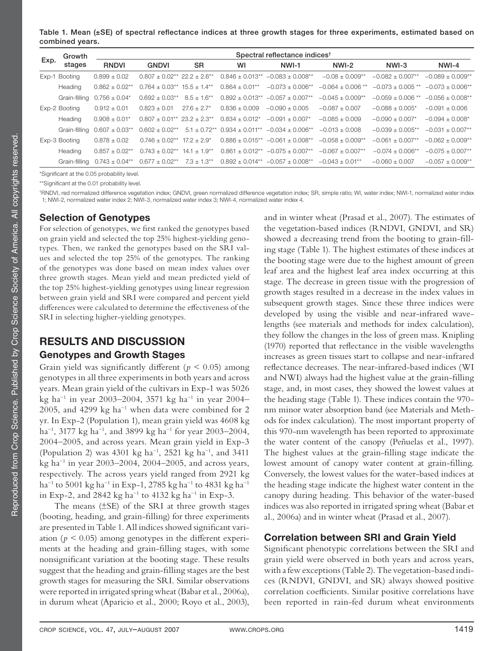Table 1. Mean (±SE) of spectral reflectance indices at three growth stages for three experiments, estimated based on **combined years.**

|      | Growth        |                     | Spectral reflectance indices <sup>t</sup>                   |                   |                      |                                 |                       |                     |                       |  |  |  |  |
|------|---------------|---------------------|-------------------------------------------------------------|-------------------|----------------------|---------------------------------|-----------------------|---------------------|-----------------------|--|--|--|--|
| Exp. | stages        | <b>RNDVI</b>        | <b>GNDVI</b>                                                | <b>SR</b>         | WI                   | NWI-1                           | NWI-2                 | NWI-3               | NWI-4                 |  |  |  |  |
|      | Exp-1 Booting | $0.899 \pm 0.02$    | $0.807 \pm 0.02^{**}$ 22.2 $\pm$ 2.6**                      |                   | $0.846 + 0.013**$    | $-0.083 + 0.008**$              | $-0.08 + 0.009**$     | $-0.082 + 0.007**$  | $-0.089 \pm 0.009**$  |  |  |  |  |
|      | Heading       | $0.862 \pm 0.02$ ** | $0.764 \pm 0.03$ <sup>**</sup> $15.5 \pm 1.4$ <sup>**</sup> |                   | $0.864 + 0.01***$    | $-0.073 \pm 0.006**$            | $-0.064 + 0.006$ **   | $-0.073 + 0.005$ ** | $-0.073 + 0.006**$    |  |  |  |  |
|      | Grain-filling | $0.756 \pm 0.04*$   | $0.692 \pm 0.03**$                                          | $8.5 \pm 1.6***$  | $0.892 \pm 0.013$ ** | $-0.057 \pm 0.007$ **           | $-0.045 + 0.009**$    | $-0.059 + 0.006$ ** | $-0.056 + 0.008$ **   |  |  |  |  |
|      | Exp-2 Booting | $0.912 \pm 0.01$    | $0.823 + 0.01$                                              | $27.6 \pm 2.7^*$  | $0.836 + 0.009$      | $-0.090 + 0.005$                | $-0.087 + 0.007$      | $-0.088 + 0.005*$   | $-0.091 + 0.006$      |  |  |  |  |
|      | Heading       | $0.908 + 0.01*$     | $0.807 + 0.01**$ 23.2 + 2.3**                               |                   | $0.834 + 0.012*$     | $-0.091 \pm 0.007$ <sup>*</sup> | $-0.085 + 0.009$      | $-0.090 + 0.007*$   | $-0.094 + 0.008*$     |  |  |  |  |
|      | Grain-filling | $0.607 \pm 0.03***$ | $0.602 \pm 0.02$ **                                         | $5.1 \pm 0.72$ ** | $0.934 \pm 0.011***$ | $-0.034 \pm 0.006**$            | $-0.013 + 0.008$      | $-0.039 + 0.005**$  | $-0.031 \pm 0.007$ ** |  |  |  |  |
|      | Exp-3 Booting | $0.878 \pm 0.02$    | $0.746 + 0.02**$                                            | $17.2 + 2.9^*$    | $0.886 + 0.015**$    | $-0.061 + 0.008**$              | $-0.058 + 0.009**$    | $-0.061 + 0.007**$  | $-0.062 \pm 0.009**$  |  |  |  |  |
|      | Heading       | $0.857 + 0.02**$    | $0.743 + 0.02**$                                            | $14.1 \pm 1.9**$  | $0.861 + 0.012**$    | $-0.075 + 0.007**$              | $-0.067 \pm 0.007$ ** | $-0.074 + 0.006**$  | $-0.075 \pm 0.007$ ** |  |  |  |  |
|      | Grain-filling | $0.743 \pm 0.04***$ | $0.677 \pm 0.02**$                                          | $7.3 \pm 1.3**$   | $0.892 \pm 0.014***$ | $-0.057 \pm 0.008$ **           | $-0.043 + 0.01**$     | $-0.060 + 0.007$    | $-0.057 + 0.009**$    |  |  |  |  |

\*Significant at the 0.05 probability level.

\*\*Significant at the 0.01 probability level.

† RNDVI, red normalized difference vegetation index; GNDVI, green normalized difference vegetation index; SR, simple ratio; WI, water index; NWI-1, normalized water index 1; NWI-2, normalized water index 2; NWI-3, normalized water index 3; NWI-4, normalized water index 4.

### **Selection of Genotypes**

For selection of genotypes, we first ranked the genotypes based on grain yield and selected the top 25% highest-yielding genotypes. Then, we ranked the genotypes based on the SRI values and selected the top 25% of the genotypes. The ranking of the genotypes was done based on mean index values over three growth stages. Mean yield and mean predicted yield of the top 25% highest-yielding genotypes using linear regression between grain yield and SRI were compared and percent yield differences were calculated to determine the effectiveness of the SRI in selecting higher-yielding genotypes.

# **RESULTS AND DISCUSSION Genotypes and Growth Stages**

Grain yield was significantly different ( $p < 0.05$ ) among genotypes in all three experiments in both years and across years. Mean grain yield of the cultivars in Exp-1 was 5026 kg ha−1 in year 2003–2004, 3571 kg ha−1 in year 2004– 2005, and 4299 kg ha<sup>-1</sup> when data were combined for 2 yr. In Exp-2 (Population 1), mean grain yield was 4608 kg ha−1, 3177 kg ha−1, and 3899 kg ha−1 for year 2003–2004, 2004–2005, and across years. Mean grain yield in Exp-3 (Population 2) was 4301 kg ha−1, 2521 kg ha−1, and 3411 kg ha−1 in year 2003–2004, 2004–2005, and across years, respectively. The across years yield ranged from 2921 kg ha−1 to 5001 kg ha−1 in Exp-1, 2785 kg ha−1 to 4831 kg ha−1 in Exp-2, and 2842 kg ha−1 to 4132 kg ha−1 in Exp-3.

The means (±SE) of the SRI at three growth stages (booting, heading, and grain-filling) for three experiments are presented in Table 1. All indices showed significant variation ( $p < 0.05$ ) among genotypes in the different experiments at the heading and grain-filling stages, with some nonsignificant variation at the booting stage. These results suggest that the heading and grain-filling stages are the best growth stages for measuring the SRI. Similar observations were reported in irrigated spring wheat (Babar et al., 2006a), in durum wheat (Aparicio et al., 2000; Royo et al., 2003), and in winter wheat (Prasad et al., 2007). The estimates of the vegetation-based indices (RNDVI, GNDVI, and SR) showed a decreasing trend from the booting to grain-filling stage (Table 1). The highest estimates of these indices at the booting stage were due to the highest amount of green leaf area and the highest leaf area index occurring at this stage. The decrease in green tissue with the progression of growth stages resulted in a decrease in the index values in subsequent growth stages. Since these three indices were developed by using the visible and near-infrared wavelengths (see materials and methods for index calculation), they follow the changes in the loss of green mass. Knipling  $(1970)$  reported that reflectance in the visible wavelengths increases as green tissues start to collapse and near-infrared reflectance decreases. The near-infrared-based indices (WI and NWI) always had the highest value at the grain-filling stage, and, in most cases, they showed the lowest values at the heading stage (Table 1). These indices contain the 970 nm minor water absorption band (see Materials and Methods for index calculation). The most important property of this 970-nm wavelength has been reported to approximate the water content of the canopy (Peñuelas et al., 1997). The highest values at the grain-filling stage indicate the lowest amount of canopy water content at grain-filling. Conversely, the lowest values for the water-based indices at the heading stage indicate the highest water content in the canopy during heading. This behavior of the water-based indices was also reported in irrigated spring wheat (Babar et al., 2006a) and in winter wheat (Prasad et al., 2007).

## **Correlation between SRI and Grain Yield**

Significant phenotypic correlations between the SRI and grain yield were observed in both years and across years, with a few exceptions (Table 2). The vegetation-based indices (RNDVI, GNDVI, and SR) always showed positive correlation coefficients. Similar positive correlations have been reported in rain-fed durum wheat environments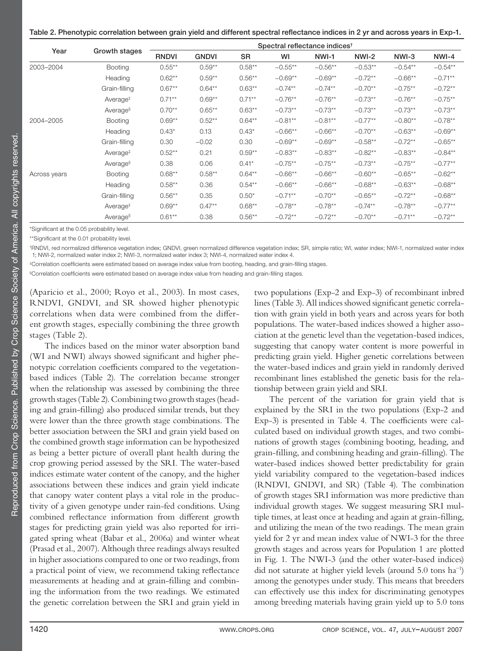| Table 2. Phenotypic correlation between grain yield and different spectral reflectance indices in 2 yr and across years in Exp-1. |  |  |  |
|-----------------------------------------------------------------------------------------------------------------------------------|--|--|--|
|-----------------------------------------------------------------------------------------------------------------------------------|--|--|--|

|              |                      |              | Spectral reflectance indices <sup>t</sup> |           |           |           |           |           |           |  |  |
|--------------|----------------------|--------------|-------------------------------------------|-----------|-----------|-----------|-----------|-----------|-----------|--|--|
| Year         | Growth stages        | <b>RNDVI</b> | <b>GNDVI</b>                              | <b>SR</b> | WI        | NWI-1     | NWI-2     | NWI-3     | $NWI-4$   |  |  |
| 2003-2004    | <b>Booting</b>       | $0.55***$    | $0.59**$                                  | $0.58**$  | $-0.55**$ | $-0.56**$ | $-0.53**$ | $-0.54**$ | $-0.54**$ |  |  |
|              | Heading              | $0.62**$     | $0.59**$                                  | $0.56**$  | $-0.69**$ | $-0.69**$ | $-0.72**$ | $-0.66**$ | $-0.71**$ |  |  |
|              | Grain-filling        | $0.67**$     | $0.64**$                                  | $0.63**$  | $-0.74**$ | $-0.74**$ | $-0.70**$ | $-0.75**$ | $-0.72**$ |  |  |
|              | Average <sup>#</sup> | $0.71***$    | $0.69**$                                  | $0.71***$ | $-0.76**$ | $-0.76**$ | $-0.73**$ | $-0.76**$ | $-0.75**$ |  |  |
|              | Average <sup>§</sup> | $0.70**$     | $0.65**$                                  | $0.63**$  | $-0.73**$ | $-0.73**$ | $-0.73**$ | $-0.73**$ | $-0.73**$ |  |  |
| 2004-2005    | <b>Booting</b>       | $0.69**$     | $0.52***$                                 | $0.64***$ | $-0.81**$ | $-0.81**$ | $-0.77**$ | $-0.80**$ | $-0.78**$ |  |  |
|              | Heading              | $0.43*$      | 0.13                                      | $0.43*$   | $-0.66**$ | $-0.66**$ | $-0.70**$ | $-0.63**$ | $-0.69**$ |  |  |
|              | Grain-filling        | 0.30         | $-0.02$                                   | 0.30      | $-0.69**$ | $-0.69**$ | $-0.58**$ | $-0.72**$ | $-0.65**$ |  |  |
|              | Average <sup>#</sup> | $0.52**$     | 0.21                                      | $0.59**$  | $-0.83**$ | $-0.83**$ | $-0.82**$ | $-0.83**$ | $-0.84**$ |  |  |
|              | Average <sup>§</sup> | 0.38         | 0.06                                      | $0.41*$   | $-0.75**$ | $-0.75**$ | $-0.73**$ | $-0.75**$ | $-0.77**$ |  |  |
| Across years | <b>Booting</b>       | $0.68**$     | $0.58***$                                 | $0.64**$  | $-0.66**$ | $-0.66**$ | $-0.60**$ | $-0.65**$ | $-0.62**$ |  |  |
|              | Heading              | $0.58**$     | 0.36                                      | $0.54***$ | $-0.66**$ | $-0.66**$ | $-0.68**$ | $-0.63**$ | $-0.68**$ |  |  |
|              | Grain-filling        | $0.56**$     | 0.35                                      | $0.50*$   | $-0.71**$ | $-0.70**$ | $-0.65**$ | $-0.72**$ | $-0.68**$ |  |  |
|              | Average <sup>#</sup> | $0.69**$     | $0.47**$                                  | $0.68**$  | $-0.78**$ | $-0.78**$ | $-0.74**$ | $-0.78**$ | $-0.77**$ |  |  |
|              | Average <sup>§</sup> | $0.61**$     | 0.38                                      | $0.56**$  | $-0.72**$ | $-0.72**$ | $-0.70**$ | $-0.71**$ | $-0.72**$ |  |  |

\*Significant at the 0.05 probability level.

\*\*Significant at the 0.01 probability level.

† RNDVI, red normalized difference vegetation index; GNDVI, green normalized difference vegetation index; SR, simple ratio; WI, water index; NWI-1, normalized water index 1; NWI-2, normalized water index 2; NWI-3, normalized water index 3; NWI-4, normalized water index 4.

‡Correlation coefficients were estimated based on average index value from booting, heading, and grain-filling stages.

©Orrelation coefficients were estimated based on average index value from heading and grain-filling stages.

(Aparicio et al., 2000; Royo et al., 2003). In most cases, RNDVI, GNDVI, and SR showed higher phenotypic correlations when data were combined from the different growth stages, especially combining the three growth stages (Table 2).

The indices based on the minor water absorption band (WI and NWI) always showed significant and higher phenotypic correlation coefficients compared to the vegetationbased indices (Table 2). The correlation became stronger when the relationship was assessed by combining the three growth stages (Table 2). Combining two growth stages (heading and grain-filling) also produced similar trends, but they were lower than the three growth stage combinations. The better association between the SRI and grain yield based on the combined growth stage information can be hypothesized as being a better picture of overall plant health during the crop growing period assessed by the SRI. The water-based indices estimate water content of the canopy, and the higher associations between these indices and grain yield indicate that canopy water content plays a vital role in the productivity of a given genotype under rain-fed conditions. Using combined reflectance information from different growth stages for predicting grain yield was also reported for irrigated spring wheat (Babar et al., 2006a) and winter wheat (Prasad et al., 2007). Although three readings always resulted in higher associations compared to one or two readings, from a practical point of view, we recommend taking reflectance measurements at heading and at grain-filling and combining the information from the two readings. We estimated the genetic correlation between the SRI and grain yield in

two populations (Exp-2 and Exp-3) of recombinant inbred lines (Table 3). All indices showed significant genetic correlation with grain yield in both years and across years for both populations. The water-based indices showed a higher association at the genetic level than the vegetation-based indices, suggesting that canopy water content is more powerful in predicting grain yield. Higher genetic correlations between the water-based indices and grain yield in randomly derived recombinant lines established the genetic basis for the relationship between grain yield and SRI.

The percent of the variation for grain yield that is explained by the SRI in the two populations (Exp-2 and Exp-3) is presented in Table 4. The coefficients were calculated based on individual growth stages, and two combinations of growth stages (combining booting, heading, and grain-filling, and combining heading and grain-filling). The water-based indices showed better predictability for grain yield variability compared to the vegetation-based indices (RNDVI, GNDVI, and SR) (Table 4). The combination of growth stages SRI information was more predictive than individual growth stages. We suggest measuring SRI multiple times, at least once at heading and again at grain-filling, and utilizing the mean of the two readings. The mean grain yield for 2 yr and mean index value of NWI-3 for the three growth stages and across years for Population 1 are plotted in Fig. 1. The NWI-3 (and the other water-based indices) did not saturate at higher yield levels (around 5.0 tons ha−1) among the genotypes under study. This means that breeders can effectively use this index for discriminating genotypes among breeding materials having grain yield up to 5.0 tons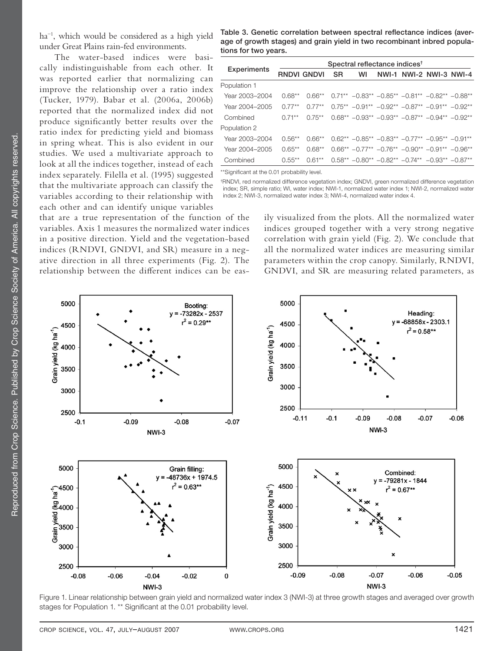ha−1, which would be considered as a high yield under Great Plains rain-fed environments.

The water-based indices were basically indistinguishable from each other. It was reported earlier that normalizing can improve the relationship over a ratio index (Tucker, 1979). Babar et al. (2006a, 2006b) reported that the normalized index did not produce significantly better results over the ratio index for predicting yield and biomass in spring wheat. This is also evident in our studies. We used a multivariate approach to look at all the indices together, instead of each index separately. Filella et al. (1995) suggested that the multivariate approach can classify the variables according to their relationship with each other and can identify unique variables

that are a true representation of the function of the variables. Axis 1 measures the normalized water indices in a positive direction. Yield and the vegetation-based indices (RNDVI, GNDVI, and SR) measure in a negative direction in all three experiments (Fig. 2). The relationship between the different indices can be eas-

Table 3. Genetic correlation between spectral reflectance indices (aver**age of growth stages) and grain yield in two recombinant inbred populations for two years.**

|                    |             | Spectral reflectance indices <sup>t</sup> |           |                                                                     |  |  |                         |  |  |  |  |  |
|--------------------|-------------|-------------------------------------------|-----------|---------------------------------------------------------------------|--|--|-------------------------|--|--|--|--|--|
| <b>Experiments</b> | RNDVI GNDVI |                                           | <b>SR</b> | WI                                                                  |  |  | NWI-1 NWI-2 NWI-3 NWI-4 |  |  |  |  |  |
| Population 1       |             |                                           |           |                                                                     |  |  |                         |  |  |  |  |  |
| Year 2003-2004     | $0.68**$    |                                           |           | $0.66**$ $0.71**$ $-0.83**$ $-0.85**$ $-0.81**$ $-0.82**$ $-0.88**$ |  |  |                         |  |  |  |  |  |
| Year 2004-2005     | $0.77**$    | $0.77***$                                 |           | $0.75** -0.91** -0.92** -0.87** -0.91** -0.92**$                    |  |  |                         |  |  |  |  |  |
| Combined           | $0.71***$   | $0.75***$                                 |           | $0.68** -0.93** -0.93** -0.87** -0.94** -0.92**$                    |  |  |                         |  |  |  |  |  |
| Population 2       |             |                                           |           |                                                                     |  |  |                         |  |  |  |  |  |
| Year 2003-2004     | $0.56**$    | 0.66**                                    |           | $0.62** -0.85** -0.83** -0.77** -0.95** -0.91**$                    |  |  |                         |  |  |  |  |  |
| Year 2004-2005     | $0.65**$    | $0.68**$                                  |           | $0.66** -0.77** -0.76** -0.90** -0.91** -0.96**$                    |  |  |                         |  |  |  |  |  |
| Combined           | $0.55**$    | $0.61**$                                  |           | $0.58** -0.80** -0.82** -0.74** -0.93** -0.87**$                    |  |  |                         |  |  |  |  |  |

\*\*Significant at the 0.01 probability level.

† RNDVI, red normalized difference vegetation index; GNDVI, green normalized difference vegetation index; SR, simple ratio; WI, water index; NWI-1, normalized water index 1; NWI-2, normalized water index 2; NWI-3, normalized water index 3; NWI-4, normalized water index 4.

> ily visualized from the plots. All the normalized water indices grouped together with a very strong negative correlation with grain yield (Fig. 2). We conclude that all the normalized water indices are measuring similar parameters within the crop canopy. Similarly, RNDVI, GNDVI, and SR are measuring related parameters, as



Figure 1. Linear relationship between grain yield and normalized water index 3 (NWI-3) at three growth stages and averaged over growth stages for Population 1. \*\* Significant at the 0.01 probability level.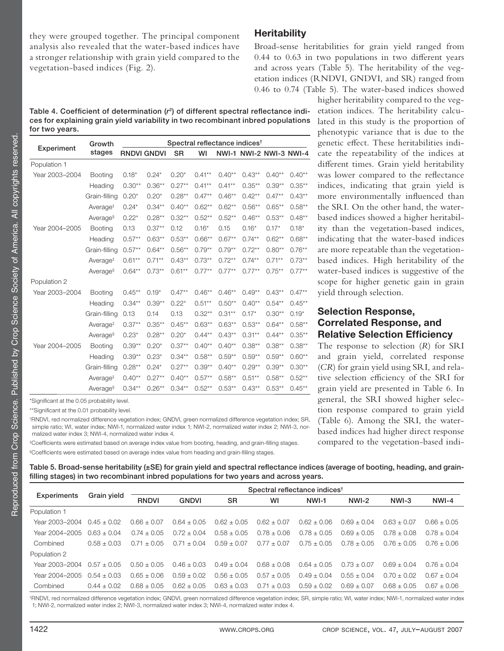they were grouped together. The principal component analysis also revealed that the water-based indices have a stronger relationship with grain yield compared to the vegetation-based indices (Fig. 2).

## **Heritability**

Broad-sense heritabilities for grain yield ranged from  $0.44$  to  $0.63$  in two populations in two different years and across years (Table 5). The heritability of the vegetation indices (RNDVI, GNDVI, and SR) ranged from 0.46 to 0.74 (Table 5). The water-based indices showed

yield through selection.

**Selection Response,** 

**Correlated Response, and Relative Selection Efficiency** The response to selection (*R*) for SRI and grain yield, correlated response (*CR*) for grain yield using SRI, and relative selection efficiency of the SRI for grain yield are presented in Table 6. In general, the SRI showed higher selection response compared to grain yield (Table 6). Among the SRI, the waterbased indices had higher direct response compared to the vegetation-based indi-

higher heritability compared to the vegetation indices. The heritability calculated in this study is the proportion of phenotypic variance that is due to the genetic effect. These heritabilities indicate the repeatability of the indices at different times. Grain yield heritability was lower compared to the reflectance indices, indicating that grain yield is more environmentally influenced than the SRI. On the other hand, the waterbased indices showed a higher heritability than the vegetation-based indices, indicating that the water-based indices are more repeatable than the vegetationbased indices. High heritability of the water-based indices is suggestive of the scope for higher genetic gain in grain

Table 4. Coefficient of determination ( $r^2$ ) of different spectral reflectance indi**ces for explaining grain yield variability in two recombinant inbred populations for two years.**

|                | Growth               |                    |           |           |           |           | Spectral reflectance indices <sup>†</sup> |           |           |
|----------------|----------------------|--------------------|-----------|-----------|-----------|-----------|-------------------------------------------|-----------|-----------|
| Experiment     | stages               | <b>RNDVI GNDVI</b> |           | SR        | WI        |           | <b>NWI-1 NWI-2 NWI-3 NWI-4</b>            |           |           |
| Population 1   |                      |                    |           |           |           |           |                                           |           |           |
| Year 2003-2004 | <b>Booting</b>       | $0.18*$            | $0.24*$   | $0.20*$   | $0.41**$  | $0.40**$  | $0.43**$                                  | $0.40**$  | $0.40**$  |
|                | Heading              | $0.30**$           | $0.36**$  | $0.27**$  | $0.41**$  | $0.41***$ | $0.35***$                                 | $0.39**$  | $0.35**$  |
|                | Grain-filling        | $0.20*$            | $0.20*$   | $0.28**$  | $0.47**$  | $0.46**$  | $0.42**$                                  | $0.47**$  | $0.43**$  |
|                | Average <sup>#</sup> | $0.24*$            | $0.34**$  | $0.40**$  | $0.62**$  | $0.62**$  | $0.56**$                                  | $0.65**$  | $0.58**$  |
|                | Average <sup>§</sup> | $0.22*$            | $0.28**$  | $0.32***$ | $0.52**$  | $0.52**$  | $0.46**$                                  | $0.53**$  | $0.48**$  |
| Year 2004-2005 | <b>Booting</b>       | 0.13               | $0.37**$  | 0.12      | $0.16*$   | 0.15      | $0.16*$                                   | $0.17*$   | $0.18*$   |
|                | Heading              | $0.57**$           | $0.63**$  | $0.53**$  | $0.66**$  | $0.67***$ | $0.74***$                                 | $0.62**$  | $0.68**$  |
|                | Grain-filling        | $0.57**$           | $0.64**$  | $0.56**$  | $0.79**$  | $0.79**$  | $0.72**$                                  | $0.80**$  | $0.76***$ |
|                | Average <sup>‡</sup> | $0.61**$           | $0.71**$  | $0.43**$  | $0.73**$  | $0.72**$  | $0.74***$                                 | $0.71**$  | $0.73**$  |
|                | Average <sup>§</sup> | $0.64**$           | $0.73**$  | $0.61**$  | $0.77***$ | $0.77***$ | $0.77***$                                 | $0.75***$ | $0.77***$ |
| Population 2   |                      |                    |           |           |           |           |                                           |           |           |
| Year 2003-2004 | Booting              | $0.45***$          | $0.19*$   | $0.47**$  | $0.46**$  | $0.46**$  | $0.49**$                                  | $0.43***$ | $0.47**$  |
|                | Heading              | $0.34***$          | $0.39**$  | $0.22*$   | $0.51***$ | $0.50**$  | $0.40**$                                  | $0.54***$ | $0.45***$ |
|                | Grain-filling        | 0.13               | 0.14      | 0.13      | $0.32**$  | $0.31**$  | $0.17*$                                   | $0.30**$  | $0.19*$   |
|                | Average <sup>‡</sup> | $0.37***$          | $0.35***$ | $0.45***$ | $0.63**$  | $0.63**$  | $0.53**$                                  | $0.64**$  | $0.58**$  |
|                | Average <sup>§</sup> | $0.23*$            | $0.28**$  | $0.20*$   | $0.44**$  | $0.43**$  | $0.31**$                                  | $0.44***$ | $0.35**$  |
| Year 2004-2005 | <b>Booting</b>       | $0.39**$           | $0.20*$   | $0.37***$ | $0.40**$  | $0.40**$  | $0.38**$                                  | $0.38**$  | $0.38**$  |
|                | Heading              | $0.39**$           | $0.23*$   | $0.34**$  | $0.58**$  | $0.59**$  | $0.59**$                                  | $0.59**$  | $0.60**$  |
|                | Grain-filling        | $0.28**$           | $0.24*$   | $0.27**$  | $0.39**$  | $0.40**$  | $0.29**$                                  | $0.39**$  | $0.30**$  |
|                | Average <sup>#</sup> | $0.40**$           | $0.27**$  | $0.40**$  | $0.57**$  | $0.58**$  | $0.51**$                                  | $0.58**$  | $0.52**$  |
|                | Average <sup>§</sup> | $0.34***$          | $0.26**$  | $0.34**$  | $0.52**$  | $0.53**$  | $0.43**$                                  | $0.53**$  | $0.45**$  |

\*Significant at the 0.05 probability level.

\*\*Significant at the 0.01 probability level.

† RNDVI, red normalized difference vegetation index; GNDVI, green normalized difference vegetation index; SR, simple ratio; WI, water index; NWI-1, normalized water index 1; NWI-2, normalized water index 2; NWI-3, normalized water index 3; NWI-4, normalized water index 4.

 $^\textup{\texttt{t}}$ Coefficients were estimated based on average index value from booting, heading, and grain-filling stages.

 $\%$ Coefficients were estimated based on average index value from heading and grain-filling stages.

Table 5. Broad-sense heritability (±SE) for grain yield and spectral reflectance indices (average of booting, heading, and grainfilling stages) in two recombinant inbred populations for two years and across years.

|                    |                 |                 | Spectral reflectance indices <sup>t</sup> |                 |                 |                 |                 |                 |                 |  |  |
|--------------------|-----------------|-----------------|-------------------------------------------|-----------------|-----------------|-----------------|-----------------|-----------------|-----------------|--|--|
| <b>Experiments</b> | Grain yield     | <b>RNDVI</b>    | <b>GNDVI</b>                              | <b>SR</b>       | WI              | NWI-1           | NWI-2           | NWI-3           | NWI-4           |  |  |
| Population 1       |                 |                 |                                           |                 |                 |                 |                 |                 |                 |  |  |
| Year 2003-2004     | $0.45 \pm 0.02$ | $0.66 \pm 0.07$ | $0.64 \pm 0.05$                           | $0.62 \pm 0.05$ | $0.62 \pm 0.07$ | $0.62 + 0.06$   | $0.69 \pm 0.04$ | $0.63 \pm 0.07$ | $0.66 \pm 0.05$ |  |  |
| Year 2004-2005     | $0.63 \pm 0.04$ | $0.74 \pm 0.05$ | $0.72 \pm 0.04$                           | $0.58 \pm 0.05$ | $0.78 \pm 0.06$ | $0.78 \pm 0.05$ | $0.69 \pm 0.05$ | $0.78 \pm 0.08$ | $0.78 \pm 0.04$ |  |  |
| Combined           | $0.58 \pm 0.03$ | $0.71 \pm 0.05$ | 0.71<br>$+0.04$                           | $0.59 \pm 0.07$ | $0.77 \pm 0.07$ | $0.75 \pm 0.05$ | $0.78 \pm 0.05$ | $0.76 \pm 0.05$ | $0.76 \pm 0.06$ |  |  |
| Population 2       |                 |                 |                                           |                 |                 |                 |                 |                 |                 |  |  |
| Year 2003-2004     | $0.57 + 0.05$   | $0.50 \pm 0.05$ | $0.46 \pm 0.03$                           | $0.49 \pm 0.04$ | $0.68 \pm 0.08$ | $0.64 \pm 0.05$ | $0.73 \pm 0.07$ | $0.69 \pm 0.04$ | $0.76 \pm 0.04$ |  |  |
| Year 2004-2005     | $0.54 + 0.03$   | $0.65 + 0.06$   | $0.59 \pm 0.02$                           | $0.56 \pm 0.05$ | $0.57 \pm 0.05$ | $0.49 \pm 0.04$ | $0.55 + 0.04$   | $0.70 + 0.02$   | $0.67 + 0.04$   |  |  |
| Combined           | $0.44 \pm 0.02$ | $0.68 \pm 0.05$ | $0.62 \pm 0.05$                           | $0.63 \pm 0.03$ | $0.71 \pm 0.03$ | $0.59 \pm 0.02$ | $0.69 \pm 0.07$ | $0.68 \pm 0.05$ | $0.67 + 0.06$   |  |  |

† RNDVI, red normalized difference vegetation index; GNDVI, green normalized difference vegetation index; SR, simple ratio; WI, water index; NWI-1, normalized water index 1; NWI-2, normalized water index 2; NWI-3, normalized water index 3; NWI-4, normalized water index 4.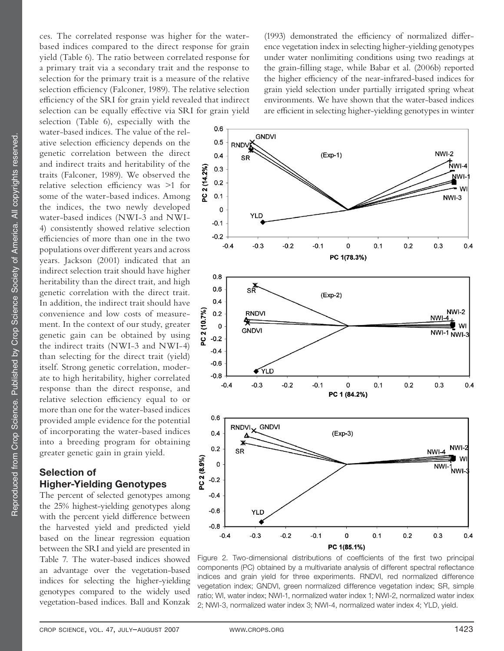ces. The correlated response was higher for the waterbased indices compared to the direct response for grain yield (Table 6). The ratio between correlated response for a primary trait via a secondary trait and the response to selection for the primary trait is a measure of the relative selection efficiency (Falconer, 1989). The relative selection efficiency of the SRI for grain yield revealed that indirect selection can be equally effective via SRI for grain yield

selection (Table 6), especially with the water-based indices. The value of the relative selection efficiency depends on the genetic correlation between the direct and indirect traits and heritability of the traits (Falconer, 1989). We observed the relative selection efficiency was  $>1$  for some of the water-based indices. Among the indices, the two newly developed water-based indices (NWI-3 and NWI-4) consistently showed relative selection efficiencies of more than one in the two populations over different years and across years. Jackson (2001) indicated that an indirect selection trait should have higher heritability than the direct trait, and high genetic correlation with the direct trait. In addition, the indirect trait should have convenience and low costs of measurement. In the context of our study, greater genetic gain can be obtained by using the indirect traits (NWI-3 and NWI-4) than selecting for the direct trait (yield) itself. Strong genetic correlation, moderate to high heritability, higher correlated response than the direct response, and relative selection efficiency equal to or more than one for the water-based indices provided ample evidence for the potential of incorporating the water-based indices into a breeding program for obtaining greater genetic gain in grain yield.

## **Selection of Higher-Yielding Genotypes**

The percent of selected genotypes among the 25% highest-yielding genotypes along with the percent yield difference between the harvested yield and predicted yield based on the linear regression equation between the SRI and yield are presented in Table 7. The water-based indices showed an advantage over the vegetation-based indices for selecting the higher-yielding genotypes compared to the widely used vegetation-based indices. Ball and Konzak

(1993) demonstrated the efficiency of normalized difference vegetation index in selecting higher-yielding genotypes under water nonlimiting conditions using two readings at the grain-filling stage, while Babar et al. (2006b) reported the higher efficiency of the near-infrared-based indices for grain yield selection under partially irrigated spring wheat environments. We have shown that the water-based indices are efficient in selecting higher-yielding genotypes in winter



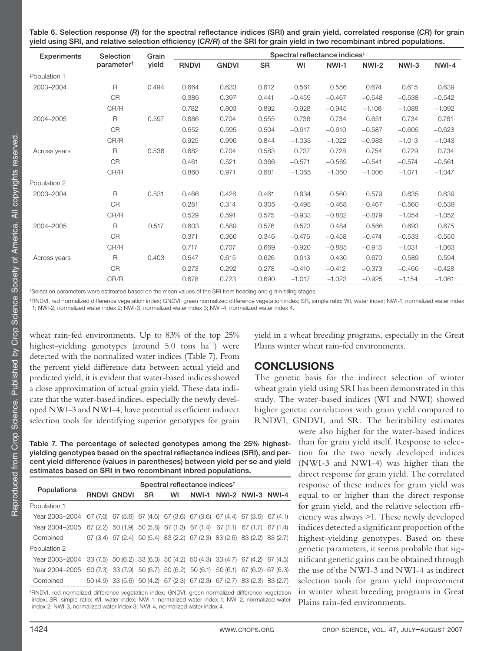Table 6. Selection response (*R*) for the spectral reflectance indices (SRI) and grain yield, correlated response (*CR*) for grain yield using SRI, and relative selection efficiency (*CR/R*) of the SRI for grain yield in two recombinant inbred populations.

| <b>Experiments</b> | Selection              | Grain | Spectral reflectance indices <sup>#</sup> |              |           |          |          |          |          |          |
|--------------------|------------------------|-------|-------------------------------------------|--------------|-----------|----------|----------|----------|----------|----------|
|                    | parameter <sup>†</sup> | yield | <b>RNDVI</b>                              | <b>GNDVI</b> | <b>SR</b> | WI       | NWI-1    | NWI-2    | NWI-3    | NWI-4    |
| Population 1       |                        |       |                                           |              |           |          |          |          |          |          |
| 2003-2004          | $\mathsf{R}$           | 0.494 | 0.664                                     | 0.633        | 0.612     | 0.561    | 0.556    | 0.674    | 0.615    | 0.639    |
|                    | <b>CR</b>              |       | 0.386                                     | 0.397        | 0.441     | $-0.459$ | $-0.467$ | $-0.548$ | $-0.538$ | $-0.542$ |
|                    | CR/R                   |       | 0.782                                     | 0.803        | 0.892     | $-0.928$ | $-0.945$ | $-1.108$ | $-1.088$ | $-1.092$ |
| 2004-2005          | R                      | 0.597 | 0.686                                     | 0.704        | 0.555     | 0.736    | 0.734    | 0.651    | 0.734    | 0.761    |
|                    | <b>CR</b>              |       | 0.552                                     | 0.595        | 0.504     | $-0.617$ | $-0.610$ | $-0.587$ | $-0.605$ | $-0.623$ |
|                    | CR/R                   |       | 0.925                                     | 0.996        | 0.844     | $-1.033$ | $-1.022$ | $-0.983$ | $-1.013$ | $-1.043$ |
| Across years       | $\mathsf{R}$           | 0.536 | 0.682                                     | 0.704        | 0.583     | 0.737    | 0.728    | 0.754    | 0.729    | 0.734    |
|                    | <b>CR</b>              |       | 0.461                                     | 0.521        | 0.366     | $-0.571$ | $-0.569$ | $-0.541$ | $-0.574$ | $-0.561$ |
|                    | CR/R                   |       | 0.860                                     | 0.971        | 0.681     | $-1.065$ | $-1.060$ | $-1.006$ | $-1.071$ | $-1.047$ |
| Population 2       |                        |       |                                           |              |           |          |          |          |          |          |
| 2003-2004          | $\mathsf{R}$           | 0.531 | 0.466                                     | 0.426        | 0.461     | 0.634    | 0.560    | 0.579    | 0.635    | 0.639    |
|                    | <b>CR</b>              |       | 0.281                                     | 0.314        | 0.305     | $-0.495$ | $-0.468$ | $-0.467$ | $-0.560$ | $-0.539$ |
|                    | CR/R                   |       | 0.529                                     | 0.591        | 0.575     | $-0.933$ | $-0.882$ | $-0.879$ | $-1.054$ | $-1.052$ |
| 2004-2005          | $\mathsf{R}$           | 0.517 | 0.603                                     | 0.589        | 0.576     | 0.573    | 0.484    | 0.566    | 0.693    | 0.675    |
|                    | <b>CR</b>              |       | 0.371                                     | 0.366        | 0.346     | $-0.476$ | $-0.458$ | $-0.474$ | $-0.533$ | $-0.550$ |
|                    | CR/R                   |       | 0.717                                     | 0.707        | 0.669     | $-0.920$ | $-0.885$ | $-0.915$ | $-1.031$ | $-1.063$ |
| Across years       | $\mathsf{R}$           | 0.403 | 0.547                                     | 0.615        | 0.626     | 0.613    | 0.430    | 0.670    | 0.589    | 0.594    |
|                    | <b>CR</b>              |       | 0.273                                     | 0.292        | 0.278     | $-0.410$ | $-0.412$ | $-0.373$ | $-0.466$ | $-0.428$ |
|                    | CR/R                   |       | 0.678                                     | 0.723        | 0.690     | $-1.017$ | $-1.023$ | $-0.925$ | $-1.154$ | $-1.061$ |

tSelection parameters were estimated based on the mean values of the SRI from heading and grain-filling stages.

‡ RNDVI, red normalized difference vegetation index; GNDVI, green normalized difference vegetation index; SR, simple ratio; WI, water index; NWI-1, normalized water index 1; NWI-2, normalized water index 2; NWI-3, normalized water index 3; NWI-4, normalized water index 4.

wheat rain-fed environments. Up to 83% of the top 25% highest-yielding genotypes (around 5.0 tons ha−1) were detected with the normalized water indices (Table 7). From the percent yield difference data between actual yield and predicted yield, it is evident that water-based indices showed a close approximation of actual grain yield. These data indicate that the water-based indices, especially the newly developed NWI-3 and NWI-4, have potential as efficient indirect selection tools for identifying superior genotypes for grain

**Table 7. The percentage of selected genotypes among the 25% highest**yielding genotypes based on the spectral reflectance indices (SRI), and per**cent yield difference (values in parentheses) between yield per se and yield estimates based on SRI in two recombinant inbred populations.**

|                | Spectral reflectance indices <sup>t</sup> |           |    |  |  |                                                                                        |  |  |  |  |  |
|----------------|-------------------------------------------|-----------|----|--|--|----------------------------------------------------------------------------------------|--|--|--|--|--|
| Populations    | RNDVI GNDVI                               | <b>SR</b> | wı |  |  | NWI-1 NWI-2 NWI-3 NWI-4                                                                |  |  |  |  |  |
| Population 1   |                                           |           |    |  |  |                                                                                        |  |  |  |  |  |
| Year 2003-2004 |                                           |           |    |  |  | $67(7.0)$ $67(5.6)$ $67(4.6)$ $67(3.6)$ $67(3.6)$ $67(4.4)$ $67(3.5)$ $67(4.1)$        |  |  |  |  |  |
| Year 2004-2005 |                                           |           |    |  |  | $67(2.2)$ 50 $(1.9)$ 50 $(5.8)$ 67 $(1.3)$ 67 $(1.4)$ 67 $(1.1)$ 67 $(1.7)$ 67 $(1.4)$ |  |  |  |  |  |
| Combined       |                                           |           |    |  |  | 67 (3.4) 67 (2.4) 50 (5.4) 83 (2.2) 67 (2.3) 83 (2.6) 83 (2.2) 83 (2.7)                |  |  |  |  |  |
| Population 2   |                                           |           |    |  |  |                                                                                        |  |  |  |  |  |
| Year 2003-2004 |                                           |           |    |  |  | 33 (7.5) 50 (6.2) 33 (6.0) 50 (4.2) 50 (4.3) 33 (4.7) 67 (4.2) 67 (4.5)                |  |  |  |  |  |
| Year 2004-2005 |                                           |           |    |  |  | 50 (7.3) 33 (7.9) 50 (6.7) 50 (6.2) 50 (6.1) 50 (6.1) 67 (6.2) 67 (6.3)                |  |  |  |  |  |
| Combined       |                                           |           |    |  |  | 50 (4.9) 33 (5.6) 50 (4.2) 67 (2.3) 67 (2.3) 67 (2.7) 83 (2.3) 83 (2.7)                |  |  |  |  |  |
|                |                                           |           |    |  |  |                                                                                        |  |  |  |  |  |

† RNDVI, red normalized difference vegetation index; GNDVI, green normalized difference vegetation index; SR, simple ratio; WI, water index; NWI-1, normalized water index 1; NWI-2, normalized water index 2; NWI-3, normalized water index 3; NWI-4, normalized water index 4.

yield in a wheat breeding programs, especially in the Great Plains winter wheat rain-fed environments.

# **CONCLUSIONS**

The genetic basis for the indirect selection of winter wheat grain yield using SRI has been demonstrated in this study. The water-based indices (WI and NWI) showed higher genetic correlations with grain yield compared to RNDVI, GNDVI, and SR. The heritability estimates

> were also higher for the water-based indices than for grain yield itself. Response to selection for the two newly developed indices (NWI-3 and NWI-4) was higher than the direct response for grain yield. The correlated response of these indices for grain yield was equal to or higher than the direct response for grain yield, and the relative selection efficiency was always >1. These newly developed indices detected a significant proportion of the highest-yielding genotypes. Based on these genetic parameters, it seems probable that significant genetic gains can be obtained through the use of the NWI-3 and NWI-4 as indirect selection tools for grain yield improvement in winter wheat breeding programs in Great Plains rain-fed environments.